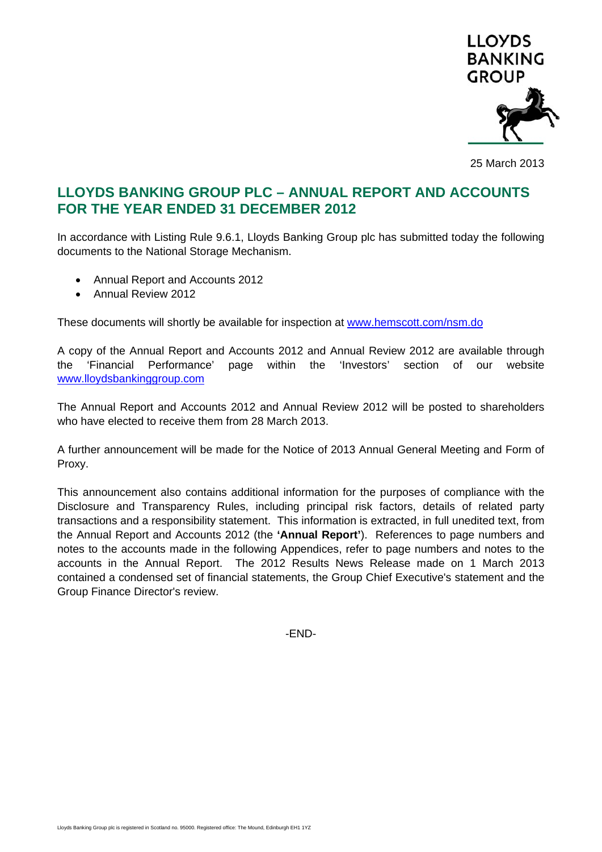

25 March 2013

# **LLOYDS BANKING GROUP PLC – ANNUAL REPORT AND ACCOUNTS FOR THE YEAR ENDED 31 DECEMBER 2012**

In accordance with Listing Rule 9.6.1, Lloyds Banking Group plc has submitted today the following documents to the National Storage Mechanism.

- Annual Report and Accounts 2012
- Annual Review 2012

These documents will shortly be available for inspection at www.hemscott.com/nsm.do

A copy of the Annual Report and Accounts 2012 and Annual Review 2012 are available through the 'Financial Performance' page within the 'Investors' section of our website www.lloydsbankinggroup.com

The Annual Report and Accounts 2012 and Annual Review 2012 will be posted to shareholders who have elected to receive them from 28 March 2013.

A further announcement will be made for the Notice of 2013 Annual General Meeting and Form of Proxy.

This announcement also contains additional information for the purposes of compliance with the Disclosure and Transparency Rules, including principal risk factors, details of related party transactions and a responsibility statement. This information is extracted, in full unedited text, from the Annual Report and Accounts 2012 (the **'Annual Report'**). References to page numbers and notes to the accounts made in the following Appendices, refer to page numbers and notes to the accounts in the Annual Report. The 2012 Results News Release made on 1 March 2013 contained a condensed set of financial statements, the Group Chief Executive's statement and the Group Finance Director's review.

-END-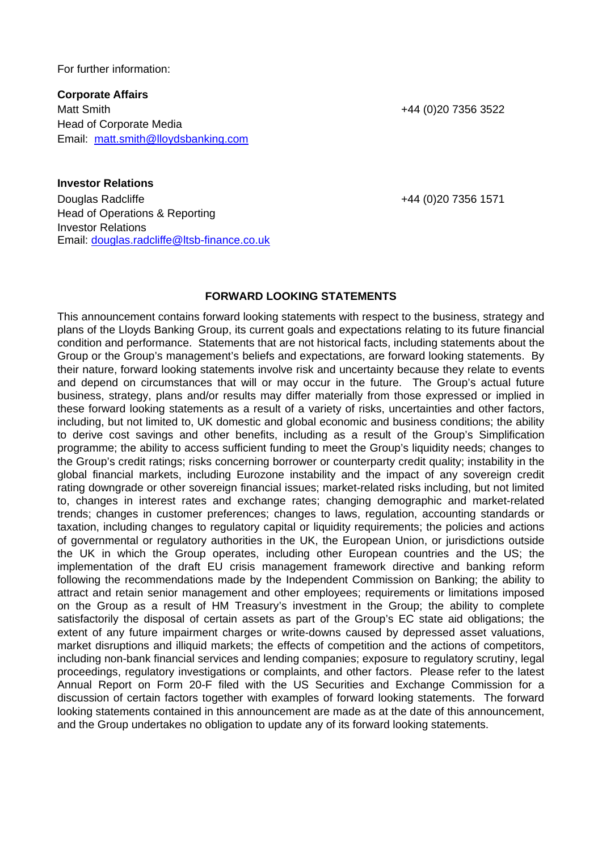For further information:

**Corporate Affairs**  Matt Smith +44 (0)20 7356 3522 Head of Corporate Media Email: matt.smith@lloydsbanking.com

**Investor Relations**  Douglas Radcliffe **+44** (0)20 7356 1571 Head of Operations & Reporting Investor Relations Email: douglas.radcliffe@ltsb-finance.co.uk

## **FORWARD LOOKING STATEMENTS**

This announcement contains forward looking statements with respect to the business, strategy and plans of the Lloyds Banking Group, its current goals and expectations relating to its future financial condition and performance. Statements that are not historical facts, including statements about the Group or the Group's management's beliefs and expectations, are forward looking statements. By their nature, forward looking statements involve risk and uncertainty because they relate to events and depend on circumstances that will or may occur in the future. The Group's actual future business, strategy, plans and/or results may differ materially from those expressed or implied in these forward looking statements as a result of a variety of risks, uncertainties and other factors, including, but not limited to, UK domestic and global economic and business conditions; the ability to derive cost savings and other benefits, including as a result of the Group's Simplification programme; the ability to access sufficient funding to meet the Group's liquidity needs; changes to the Group's credit ratings; risks concerning borrower or counterparty credit quality; instability in the global financial markets, including Eurozone instability and the impact of any sovereign credit rating downgrade or other sovereign financial issues; market-related risks including, but not limited to, changes in interest rates and exchange rates; changing demographic and market-related trends; changes in customer preferences; changes to laws, regulation, accounting standards or taxation, including changes to regulatory capital or liquidity requirements; the policies and actions of governmental or regulatory authorities in the UK, the European Union, or jurisdictions outside the UK in which the Group operates, including other European countries and the US; the implementation of the draft EU crisis management framework directive and banking reform following the recommendations made by the Independent Commission on Banking; the ability to attract and retain senior management and other employees; requirements or limitations imposed on the Group as a result of HM Treasury's investment in the Group; the ability to complete satisfactorily the disposal of certain assets as part of the Group's EC state aid obligations; the extent of any future impairment charges or write-downs caused by depressed asset valuations, market disruptions and illiquid markets; the effects of competition and the actions of competitors, including non-bank financial services and lending companies; exposure to regulatory scrutiny, legal proceedings, regulatory investigations or complaints, and other factors. Please refer to the latest Annual Report on Form 20-F filed with the US Securities and Exchange Commission for a discussion of certain factors together with examples of forward looking statements. The forward looking statements contained in this announcement are made as at the date of this announcement, and the Group undertakes no obligation to update any of its forward looking statements.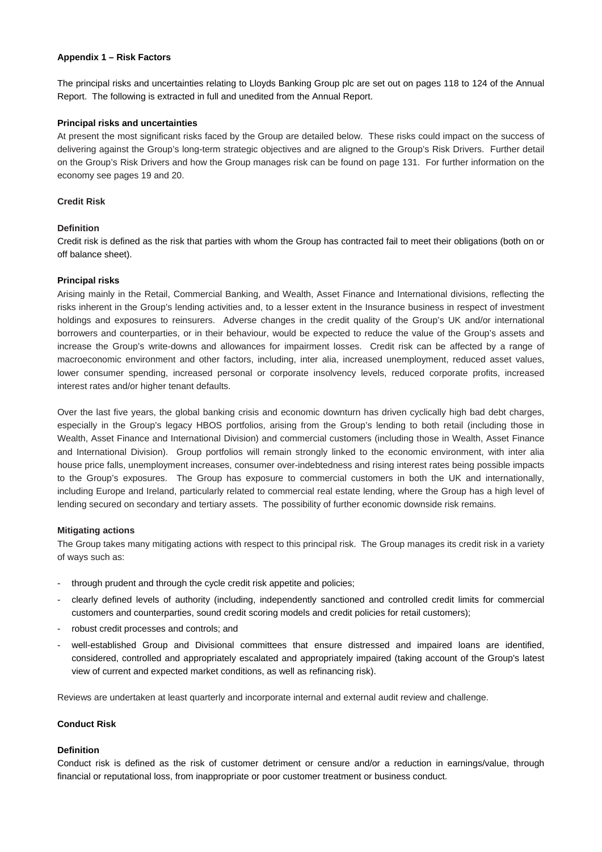#### **Appendix 1 – Risk Factors**

The principal risks and uncertainties relating to Lloyds Banking Group plc are set out on pages 118 to 124 of the Annual Report. The following is extracted in full and unedited from the Annual Report.

#### **Principal risks and uncertainties**

At present the most significant risks faced by the Group are detailed below. These risks could impact on the success of delivering against the Group's long-term strategic objectives and are aligned to the Group's Risk Drivers. Further detail on the Group's Risk Drivers and how the Group manages risk can be found on page 131. For further information on the economy see pages 19 and 20.

#### **Credit Risk**

#### **Definition**

Credit risk is defined as the risk that parties with whom the Group has contracted fail to meet their obligations (both on or off balance sheet).

#### **Principal risks**

Arising mainly in the Retail, Commercial Banking, and Wealth, Asset Finance and International divisions, reflecting the risks inherent in the Group's lending activities and, to a lesser extent in the Insurance business in respect of investment holdings and exposures to reinsurers. Adverse changes in the credit quality of the Group's UK and/or international borrowers and counterparties, or in their behaviour, would be expected to reduce the value of the Group's assets and increase the Group's write-downs and allowances for impairment losses. Credit risk can be affected by a range of macroeconomic environment and other factors, including, inter alia, increased unemployment, reduced asset values, lower consumer spending, increased personal or corporate insolvency levels, reduced corporate profits, increased interest rates and/or higher tenant defaults.

Over the last five years, the global banking crisis and economic downturn has driven cyclically high bad debt charges, especially in the Group's legacy HBOS portfolios, arising from the Group's lending to both retail (including those in Wealth, Asset Finance and International Division) and commercial customers (including those in Wealth, Asset Finance and International Division). Group portfolios will remain strongly linked to the economic environment, with inter alia house price falls, unemployment increases, consumer over-indebtedness and rising interest rates being possible impacts to the Group's exposures. The Group has exposure to commercial customers in both the UK and internationally, including Europe and Ireland, particularly related to commercial real estate lending, where the Group has a high level of lending secured on secondary and tertiary assets. The possibility of further economic downside risk remains.

#### **Mitigating actions**

The Group takes many mitigating actions with respect to this principal risk. The Group manages its credit risk in a variety of ways such as:

- through prudent and through the cycle credit risk appetite and policies;
- clearly defined levels of authority (including, independently sanctioned and controlled credit limits for commercial customers and counterparties, sound credit scoring models and credit policies for retail customers);
- robust credit processes and controls; and
- well-established Group and Divisional committees that ensure distressed and impaired loans are identified, considered, controlled and appropriately escalated and appropriately impaired (taking account of the Group's latest view of current and expected market conditions, as well as refinancing risk).

Reviews are undertaken at least quarterly and incorporate internal and external audit review and challenge.

#### **Conduct Risk**

#### **Definition**

Conduct risk is defined as the risk of customer detriment or censure and/or a reduction in earnings/value, through financial or reputational loss, from inappropriate or poor customer treatment or business conduct.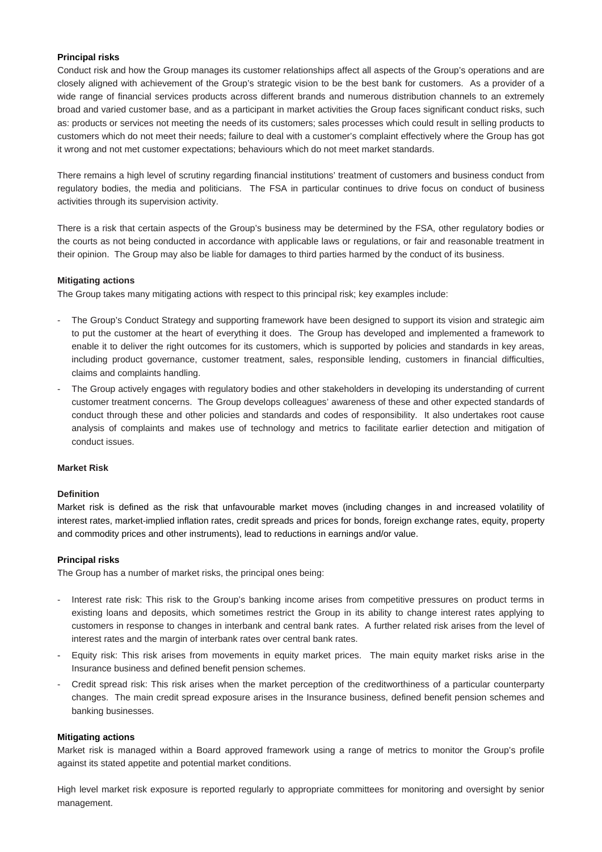#### **Principal risks**

Conduct risk and how the Group manages its customer relationships affect all aspects of the Group's operations and are closely aligned with achievement of the Group's strategic vision to be the best bank for customers. As a provider of a wide range of financial services products across different brands and numerous distribution channels to an extremely broad and varied customer base, and as a participant in market activities the Group faces significant conduct risks, such as: products or services not meeting the needs of its customers; sales processes which could result in selling products to customers which do not meet their needs; failure to deal with a customer's complaint effectively where the Group has got it wrong and not met customer expectations; behaviours which do not meet market standards.

There remains a high level of scrutiny regarding financial institutions' treatment of customers and business conduct from regulatory bodies, the media and politicians. The FSA in particular continues to drive focus on conduct of business activities through its supervision activity.

There is a risk that certain aspects of the Group's business may be determined by the FSA, other regulatory bodies or the courts as not being conducted in accordance with applicable laws or regulations, or fair and reasonable treatment in their opinion. The Group may also be liable for damages to third parties harmed by the conduct of its business.

#### **Mitigating actions**

The Group takes many mitigating actions with respect to this principal risk; key examples include:

- The Group's Conduct Strategy and supporting framework have been designed to support its vision and strategic aim to put the customer at the heart of everything it does. The Group has developed and implemented a framework to enable it to deliver the right outcomes for its customers, which is supported by policies and standards in key areas, including product governance, customer treatment, sales, responsible lending, customers in financial difficulties, claims and complaints handling.
- The Group actively engages with regulatory bodies and other stakeholders in developing its understanding of current customer treatment concerns. The Group develops colleagues' awareness of these and other expected standards of conduct through these and other policies and standards and codes of responsibility. It also undertakes root cause analysis of complaints and makes use of technology and metrics to facilitate earlier detection and mitigation of conduct issues.

#### **Market Risk**

#### **Definition**

Market risk is defined as the risk that unfavourable market moves (including changes in and increased volatility of interest rates, market-implied inflation rates, credit spreads and prices for bonds, foreign exchange rates, equity, property and commodity prices and other instruments), lead to reductions in earnings and/or value.

#### **Principal risks**

The Group has a number of market risks, the principal ones being:

- Interest rate risk: This risk to the Group's banking income arises from competitive pressures on product terms in existing loans and deposits, which sometimes restrict the Group in its ability to change interest rates applying to customers in response to changes in interbank and central bank rates. A further related risk arises from the level of interest rates and the margin of interbank rates over central bank rates.
- Equity risk: This risk arises from movements in equity market prices. The main equity market risks arise in the Insurance business and defined benefit pension schemes.
- Credit spread risk: This risk arises when the market perception of the creditworthiness of a particular counterparty changes. The main credit spread exposure arises in the Insurance business, defined benefit pension schemes and banking businesses.

#### **Mitigating actions**

Market risk is managed within a Board approved framework using a range of metrics to monitor the Group's profile against its stated appetite and potential market conditions.

High level market risk exposure is reported regularly to appropriate committees for monitoring and oversight by senior management.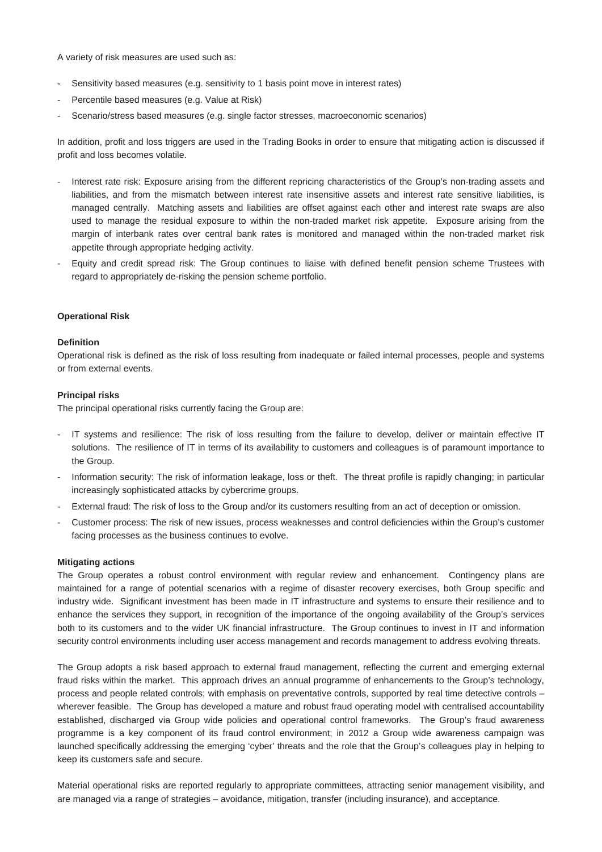A variety of risk measures are used such as:

- Sensitivity based measures (e.g. sensitivity to 1 basis point move in interest rates)
- Percentile based measures (e.g. Value at Risk)
- Scenario/stress based measures (e.g. single factor stresses, macroeconomic scenarios)

In addition, profit and loss triggers are used in the Trading Books in order to ensure that mitigating action is discussed if profit and loss becomes volatile.

- Interest rate risk: Exposure arising from the different repricing characteristics of the Group's non-trading assets and liabilities, and from the mismatch between interest rate insensitive assets and interest rate sensitive liabilities, is managed centrally. Matching assets and liabilities are offset against each other and interest rate swaps are also used to manage the residual exposure to within the non-traded market risk appetite. Exposure arising from the margin of interbank rates over central bank rates is monitored and managed within the non-traded market risk appetite through appropriate hedging activity.
- Equity and credit spread risk: The Group continues to liaise with defined benefit pension scheme Trustees with regard to appropriately de-risking the pension scheme portfolio.

#### **Operational Risk**

#### **Definition**

Operational risk is defined as the risk of loss resulting from inadequate or failed internal processes, people and systems or from external events.

#### **Principal risks**

The principal operational risks currently facing the Group are:

- IT systems and resilience: The risk of loss resulting from the failure to develop, deliver or maintain effective IT solutions. The resilience of IT in terms of its availability to customers and colleagues is of paramount importance to the Group.
- Information security: The risk of information leakage, loss or theft. The threat profile is rapidly changing; in particular increasingly sophisticated attacks by cybercrime groups.
- External fraud: The risk of loss to the Group and/or its customers resulting from an act of deception or omission.
- Customer process: The risk of new issues, process weaknesses and control deficiencies within the Group's customer facing processes as the business continues to evolve.

#### **Mitigating actions**

The Group operates a robust control environment with regular review and enhancement. Contingency plans are maintained for a range of potential scenarios with a regime of disaster recovery exercises, both Group specific and industry wide. Significant investment has been made in IT infrastructure and systems to ensure their resilience and to enhance the services they support, in recognition of the importance of the ongoing availability of the Group's services both to its customers and to the wider UK financial infrastructure. The Group continues to invest in IT and information security control environments including user access management and records management to address evolving threats.

The Group adopts a risk based approach to external fraud management, reflecting the current and emerging external fraud risks within the market. This approach drives an annual programme of enhancements to the Group's technology, process and people related controls; with emphasis on preventative controls, supported by real time detective controls – wherever feasible. The Group has developed a mature and robust fraud operating model with centralised accountability established, discharged via Group wide policies and operational control frameworks. The Group's fraud awareness programme is a key component of its fraud control environment; in 2012 a Group wide awareness campaign was launched specifically addressing the emerging 'cyber' threats and the role that the Group's colleagues play in helping to keep its customers safe and secure.

Material operational risks are reported regularly to appropriate committees, attracting senior management visibility, and are managed via a range of strategies – avoidance, mitigation, transfer (including insurance), and acceptance.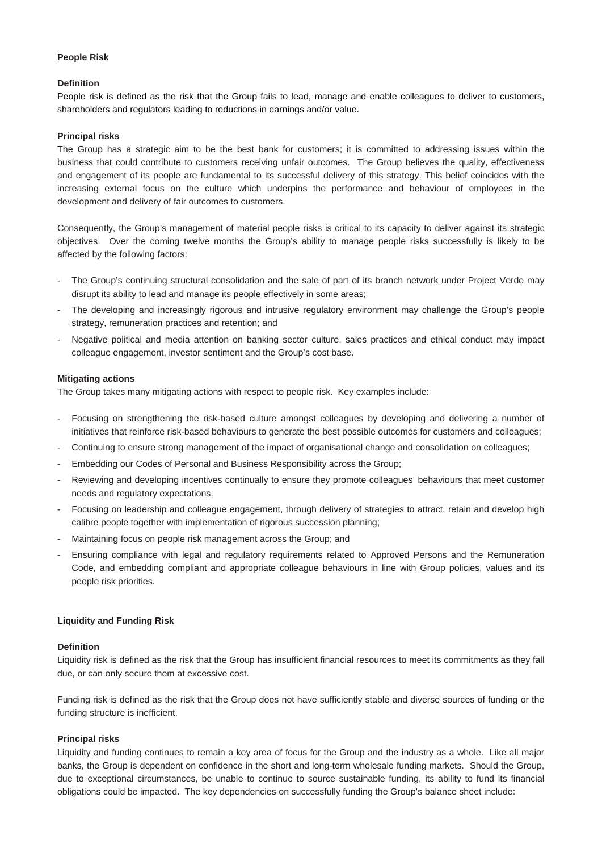#### **People Risk**

#### **Definition**

People risk is defined as the risk that the Group fails to lead, manage and enable colleagues to deliver to customers, shareholders and regulators leading to reductions in earnings and/or value.

#### **Principal risks**

The Group has a strategic aim to be the best bank for customers; it is committed to addressing issues within the business that could contribute to customers receiving unfair outcomes. The Group believes the quality, effectiveness and engagement of its people are fundamental to its successful delivery of this strategy. This belief coincides with the increasing external focus on the culture which underpins the performance and behaviour of employees in the development and delivery of fair outcomes to customers.

Consequently, the Group's management of material people risks is critical to its capacity to deliver against its strategic objectives. Over the coming twelve months the Group's ability to manage people risks successfully is likely to be affected by the following factors:

- The Group's continuing structural consolidation and the sale of part of its branch network under Project Verde may disrupt its ability to lead and manage its people effectively in some areas;
- The developing and increasingly rigorous and intrusive regulatory environment may challenge the Group's people strategy, remuneration practices and retention; and
- Negative political and media attention on banking sector culture, sales practices and ethical conduct may impact colleague engagement, investor sentiment and the Group's cost base.

#### **Mitigating actions**

The Group takes many mitigating actions with respect to people risk. Key examples include:

- Focusing on strengthening the risk-based culture amongst colleagues by developing and delivering a number of initiatives that reinforce risk-based behaviours to generate the best possible outcomes for customers and colleagues;
- Continuing to ensure strong management of the impact of organisational change and consolidation on colleagues;
- Embedding our Codes of Personal and Business Responsibility across the Group;
- Reviewing and developing incentives continually to ensure they promote colleagues' behaviours that meet customer needs and regulatory expectations;
- Focusing on leadership and colleague engagement, through delivery of strategies to attract, retain and develop high calibre people together with implementation of rigorous succession planning;
- Maintaining focus on people risk management across the Group; and
- Ensuring compliance with legal and regulatory requirements related to Approved Persons and the Remuneration Code, and embedding compliant and appropriate colleague behaviours in line with Group policies, values and its people risk priorities.

#### **Liquidity and Funding Risk**

#### **Definition**

Liquidity risk is defined as the risk that the Group has insufficient financial resources to meet its commitments as they fall due, or can only secure them at excessive cost.

Funding risk is defined as the risk that the Group does not have sufficiently stable and diverse sources of funding or the funding structure is inefficient.

### **Principal risks**

Liquidity and funding continues to remain a key area of focus for the Group and the industry as a whole. Like all major banks, the Group is dependent on confidence in the short and long-term wholesale funding markets. Should the Group, due to exceptional circumstances, be unable to continue to source sustainable funding, its ability to fund its financial obligations could be impacted. The key dependencies on successfully funding the Group's balance sheet include: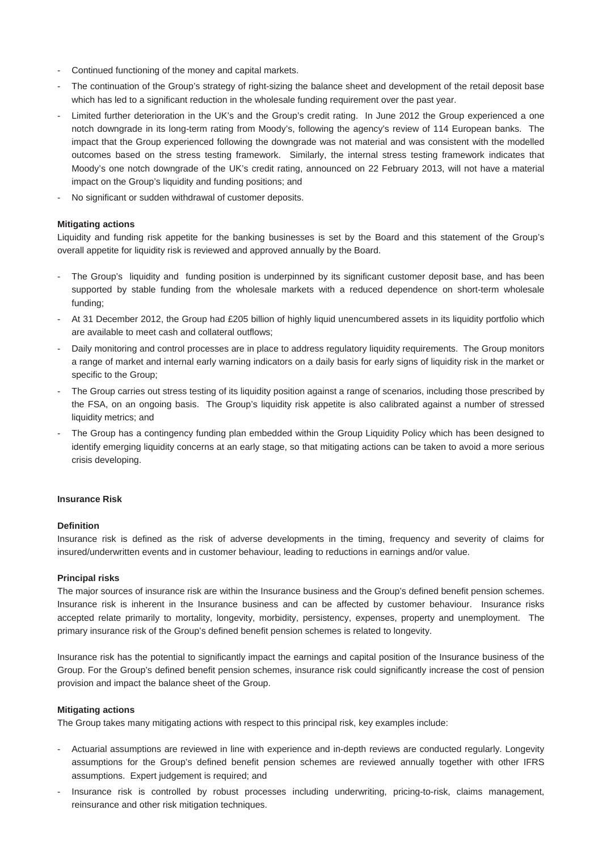- Continued functioning of the money and capital markets.
- The continuation of the Group's strategy of right-sizing the balance sheet and development of the retail deposit base which has led to a significant reduction in the wholesale funding requirement over the past year.
- Limited further deterioration in the UK's and the Group's credit rating. In June 2012 the Group experienced a one notch downgrade in its long-term rating from Moody's, following the agency's review of 114 European banks. The impact that the Group experienced following the downgrade was not material and was consistent with the modelled outcomes based on the stress testing framework. Similarly, the internal stress testing framework indicates that Moody's one notch downgrade of the UK's credit rating, announced on 22 February 2013, will not have a material impact on the Group's liquidity and funding positions; and
- No significant or sudden withdrawal of customer deposits.

#### **Mitigating actions**

Liquidity and funding risk appetite for the banking businesses is set by the Board and this statement of the Group's overall appetite for liquidity risk is reviewed and approved annually by the Board.

- The Group's liquidity and funding position is underpinned by its significant customer deposit base, and has been supported by stable funding from the wholesale markets with a reduced dependence on short-term wholesale funding;
- At 31 December 2012, the Group had £205 billion of highly liquid unencumbered assets in its liquidity portfolio which are available to meet cash and collateral outflows;
- Daily monitoring and control processes are in place to address regulatory liquidity requirements. The Group monitors a range of market and internal early warning indicators on a daily basis for early signs of liquidity risk in the market or specific to the Group;
- The Group carries out stress testing of its liquidity position against a range of scenarios, including those prescribed by the FSA, on an ongoing basis. The Group's liquidity risk appetite is also calibrated against a number of stressed liquidity metrics; and
- The Group has a contingency funding plan embedded within the Group Liquidity Policy which has been designed to identify emerging liquidity concerns at an early stage, so that mitigating actions can be taken to avoid a more serious crisis developing.

#### **Insurance Risk**

#### **Definition**

Insurance risk is defined as the risk of adverse developments in the timing, frequency and severity of claims for insured/underwritten events and in customer behaviour, leading to reductions in earnings and/or value.

#### **Principal risks**

The major sources of insurance risk are within the Insurance business and the Group's defined benefit pension schemes. Insurance risk is inherent in the Insurance business and can be affected by customer behaviour. Insurance risks accepted relate primarily to mortality, longevity, morbidity, persistency, expenses, property and unemployment. The primary insurance risk of the Group's defined benefit pension schemes is related to longevity.

Insurance risk has the potential to significantly impact the earnings and capital position of the Insurance business of the Group. For the Group's defined benefit pension schemes, insurance risk could significantly increase the cost of pension provision and impact the balance sheet of the Group.

#### **Mitigating actions**

The Group takes many mitigating actions with respect to this principal risk, key examples include:

- Actuarial assumptions are reviewed in line with experience and in-depth reviews are conducted regularly. Longevity assumptions for the Group's defined benefit pension schemes are reviewed annually together with other IFRS assumptions. Expert judgement is required; and
- Insurance risk is controlled by robust processes including underwriting, pricing-to-risk, claims management, reinsurance and other risk mitigation techniques.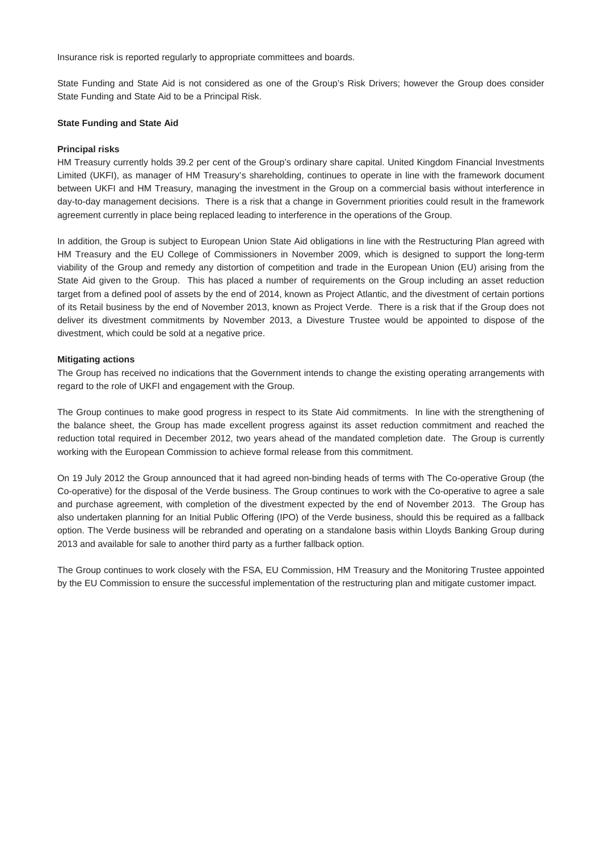Insurance risk is reported regularly to appropriate committees and boards.

State Funding and State Aid is not considered as one of the Group's Risk Drivers; however the Group does consider State Funding and State Aid to be a Principal Risk.

#### **State Funding and State Aid**

#### **Principal risks**

HM Treasury currently holds 39.2 per cent of the Group's ordinary share capital. United Kingdom Financial Investments Limited (UKFI), as manager of HM Treasury's shareholding, continues to operate in line with the framework document between UKFI and HM Treasury, managing the investment in the Group on a commercial basis without interference in day-to-day management decisions. There is a risk that a change in Government priorities could result in the framework agreement currently in place being replaced leading to interference in the operations of the Group.

In addition, the Group is subject to European Union State Aid obligations in line with the Restructuring Plan agreed with HM Treasury and the EU College of Commissioners in November 2009, which is designed to support the long-term viability of the Group and remedy any distortion of competition and trade in the European Union (EU) arising from the State Aid given to the Group. This has placed a number of requirements on the Group including an asset reduction target from a defined pool of assets by the end of 2014, known as Project Atlantic, and the divestment of certain portions of its Retail business by the end of November 2013, known as Project Verde. There is a risk that if the Group does not deliver its divestment commitments by November 2013, a Divesture Trustee would be appointed to dispose of the divestment, which could be sold at a negative price.

#### **Mitigating actions**

The Group has received no indications that the Government intends to change the existing operating arrangements with regard to the role of UKFI and engagement with the Group.

The Group continues to make good progress in respect to its State Aid commitments. In line with the strengthening of the balance sheet, the Group has made excellent progress against its asset reduction commitment and reached the reduction total required in December 2012, two years ahead of the mandated completion date. The Group is currently working with the European Commission to achieve formal release from this commitment.

On 19 July 2012 the Group announced that it had agreed non-binding heads of terms with The Co-operative Group (the Co-operative) for the disposal of the Verde business. The Group continues to work with the Co-operative to agree a sale and purchase agreement, with completion of the divestment expected by the end of November 2013. The Group has also undertaken planning for an Initial Public Offering (IPO) of the Verde business, should this be required as a fallback option. The Verde business will be rebranded and operating on a standalone basis within Lloyds Banking Group during 2013 and available for sale to another third party as a further fallback option.

The Group continues to work closely with the FSA, EU Commission, HM Treasury and the Monitoring Trustee appointed by the EU Commission to ensure the successful implementation of the restructuring plan and mitigate customer impact.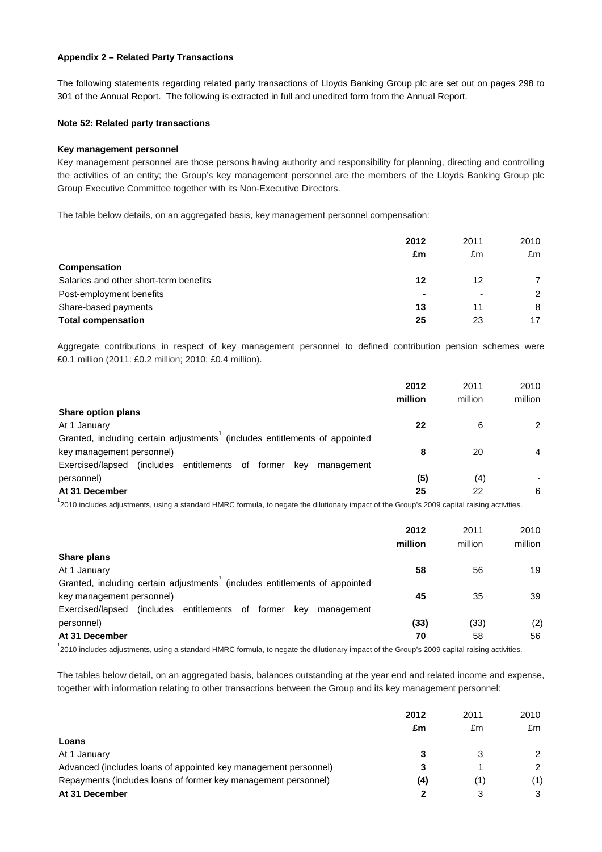#### **Appendix 2 – Related Party Transactions**

The following statements regarding related party transactions of Lloyds Banking Group plc are set out on pages 298 to 301 of the Annual Report. The following is extracted in full and unedited form from the Annual Report.

#### **Note 52: Related party transactions**

#### **Key management personnel**

Key management personnel are those persons having authority and responsibility for planning, directing and controlling the activities of an entity; the Group's key management personnel are the members of the Lloyds Banking Group plc Group Executive Committee together with its Non-Executive Directors.

The table below details, on an aggregated basis, key management personnel compensation:

|                                        | 2012<br>£m     | 2011<br>£m               | 2010<br>£m    |
|----------------------------------------|----------------|--------------------------|---------------|
| Compensation                           |                |                          |               |
| Salaries and other short-term benefits | 12             | 12                       |               |
| Post-employment benefits               | $\blacksquare$ | $\overline{\phantom{0}}$ | $\mathcal{P}$ |
| Share-based payments                   | 13             |                          | 8             |
| <b>Total compensation</b>              | 25             | 23                       | 17            |

Aggregate contributions in respect of key management personnel to defined contribution pension schemes were £0.1 million (2011: £0.2 million; 2010: £0.4 million).

|                                                                            | 2012<br>million | 2011<br>million | 2010<br>million |
|----------------------------------------------------------------------------|-----------------|-----------------|-----------------|
| Share option plans                                                         |                 |                 |                 |
| At 1 January                                                               | 22              | 6               | 2               |
| Granted, including certain adjustments (includes entitlements of appointed |                 |                 |                 |
| key management personnel)                                                  | 8               | 20              | $\overline{4}$  |
| (includes entitlements of former<br>Exercised/lapsed<br>kev<br>management  |                 |                 |                 |
| personnel)                                                                 | (5)             | (4)             |                 |
| At 31 December                                                             | 25              | 22              | 6               |

**At 31 December 25** 22 6 1 2010 includes adjustments, using a standard HMRC formula, to negate the dilutionary impact of the Group's 2009 capital raising activities.

|                                                                                                                                            | 2012<br>million | 2011<br>million | 2010<br>million |
|--------------------------------------------------------------------------------------------------------------------------------------------|-----------------|-----------------|-----------------|
| Share plans                                                                                                                                |                 |                 |                 |
| At 1 January                                                                                                                               | 58              | 56              | 19              |
| Granted, including certain adjustments (includes entitlements of appointed                                                                 |                 |                 |                 |
| key management personnel)                                                                                                                  | 45              | 35              | 39              |
| (includes entitlements of former<br>Exercised/lapsed<br>kev<br>management                                                                  |                 |                 |                 |
| personnel)                                                                                                                                 | (33)            | (33)            | (2)             |
| At 31 December                                                                                                                             | 70              | 58              | 56              |
| 2010 includes adjustments, using a standard HMRC formula, to negate the dilutionary impact of the Group's 2009 capital raising activities. |                 |                 |                 |

The tables below detail, on an aggregated basis, balances outstanding at the year end and related income and expense, together with information relating to other transactions between the Group and its key management personnel:

|                                                                 | 2012 | 2011 | 2010          |
|-----------------------------------------------------------------|------|------|---------------|
|                                                                 | £m   | £m   | £m            |
| Loans                                                           |      |      |               |
| At 1 January                                                    |      |      | $\mathcal{P}$ |
| Advanced (includes loans of appointed key management personnel) |      |      | $\mathcal{P}$ |
| Repayments (includes loans of former key management personnel)  | (4)  |      | (1)           |
| At 31 December                                                  |      |      |               |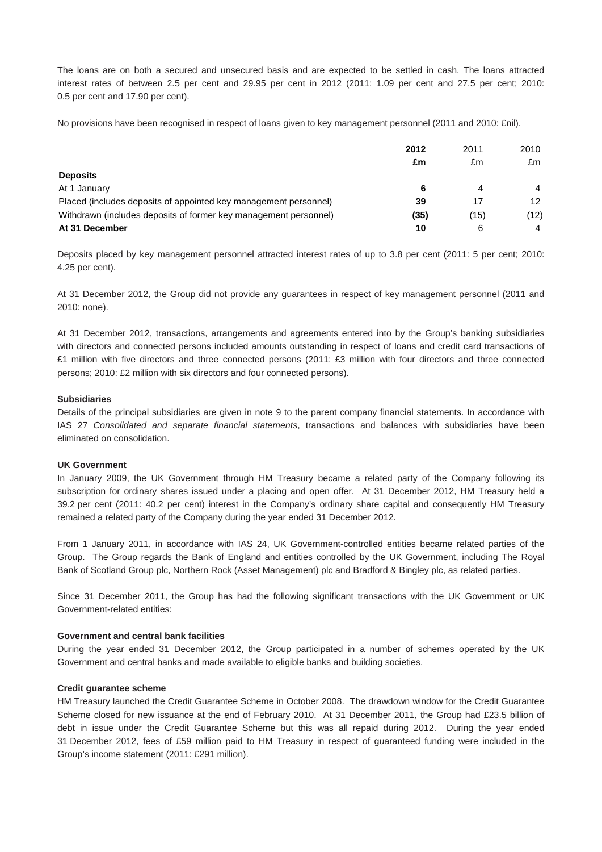The loans are on both a secured and unsecured basis and are expected to be settled in cash. The loans attracted interest rates of between 2.5 per cent and 29.95 per cent in 2012 (2011: 1.09 per cent and 27.5 per cent; 2010: 0.5 per cent and 17.90 per cent).

No provisions have been recognised in respect of loans given to key management personnel (2011 and 2010: £nil).

|                                                                  | 2012 | 2011 | 2010            |
|------------------------------------------------------------------|------|------|-----------------|
|                                                                  | £m   | £m   | £m              |
| <b>Deposits</b>                                                  |      |      |                 |
| At 1 January                                                     | 6    |      | $\overline{4}$  |
| Placed (includes deposits of appointed key management personnel) | 39   |      | 12 <sup>°</sup> |
| Withdrawn (includes deposits of former key management personnel) | (35) | (15) | (12)            |
| At 31 December                                                   | 10   |      | $\overline{4}$  |

Deposits placed by key management personnel attracted interest rates of up to 3.8 per cent (2011: 5 per cent; 2010: 4.25 per cent).

At 31 December 2012, the Group did not provide any guarantees in respect of key management personnel (2011 and 2010: none).

At 31 December 2012, transactions, arrangements and agreements entered into by the Group's banking subsidiaries with directors and connected persons included amounts outstanding in respect of loans and credit card transactions of £1 million with five directors and three connected persons (2011: £3 million with four directors and three connected persons; 2010: £2 million with six directors and four connected persons).

#### **Subsidiaries**

Details of the principal subsidiaries are given in note 9 to the parent company financial statements. In accordance with IAS 27 *Consolidated and separate financial statements*, transactions and balances with subsidiaries have been eliminated on consolidation.

#### **UK Government**

In January 2009, the UK Government through HM Treasury became a related party of the Company following its subscription for ordinary shares issued under a placing and open offer. At 31 December 2012, HM Treasury held a 39.2 per cent (2011: 40.2 per cent) interest in the Company's ordinary share capital and consequently HM Treasury remained a related party of the Company during the year ended 31 December 2012.

From 1 January 2011, in accordance with IAS 24, UK Government-controlled entities became related parties of the Group. The Group regards the Bank of England and entities controlled by the UK Government, including The Royal Bank of Scotland Group plc, Northern Rock (Asset Management) plc and Bradford & Bingley plc, as related parties.

Since 31 December 2011, the Group has had the following significant transactions with the UK Government or UK Government-related entities:

#### **Government and central bank facilities**

During the year ended 31 December 2012, the Group participated in a number of schemes operated by the UK Government and central banks and made available to eligible banks and building societies.

#### **Credit guarantee scheme**

HM Treasury launched the Credit Guarantee Scheme in October 2008. The drawdown window for the Credit Guarantee Scheme closed for new issuance at the end of February 2010. At 31 December 2011, the Group had £23.5 billion of debt in issue under the Credit Guarantee Scheme but this was all repaid during 2012. During the year ended 31 December 2012, fees of £59 million paid to HM Treasury in respect of guaranteed funding were included in the Group's income statement (2011: £291 million).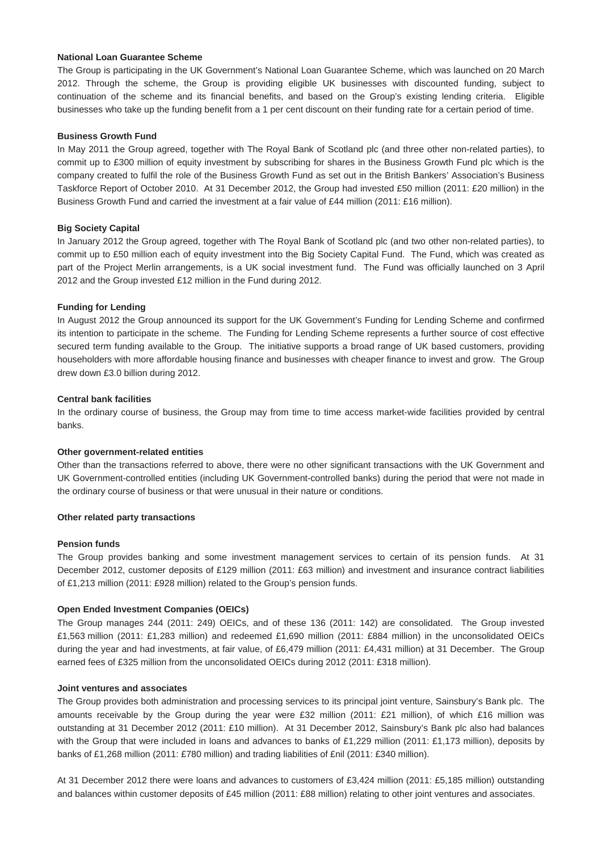#### **National Loan Guarantee Scheme**

The Group is participating in the UK Government's National Loan Guarantee Scheme, which was launched on 20 March 2012. Through the scheme, the Group is providing eligible UK businesses with discounted funding, subject to continuation of the scheme and its financial benefits, and based on the Group's existing lending criteria. Eligible businesses who take up the funding benefit from a 1 per cent discount on their funding rate for a certain period of time.

#### **Business Growth Fund**

In May 2011 the Group agreed, together with The Royal Bank of Scotland plc (and three other non-related parties), to commit up to £300 million of equity investment by subscribing for shares in the Business Growth Fund plc which is the company created to fulfil the role of the Business Growth Fund as set out in the British Bankers' Association's Business Taskforce Report of October 2010. At 31 December 2012, the Group had invested £50 million (2011: £20 million) in the Business Growth Fund and carried the investment at a fair value of £44 million (2011: £16 million).

#### **Big Society Capital**

In January 2012 the Group agreed, together with The Royal Bank of Scotland plc (and two other non-related parties), to commit up to £50 million each of equity investment into the Big Society Capital Fund. The Fund, which was created as part of the Project Merlin arrangements, is a UK social investment fund. The Fund was officially launched on 3 April 2012 and the Group invested £12 million in the Fund during 2012.

#### **Funding for Lending**

In August 2012 the Group announced its support for the UK Government's Funding for Lending Scheme and confirmed its intention to participate in the scheme. The Funding for Lending Scheme represents a further source of cost effective secured term funding available to the Group. The initiative supports a broad range of UK based customers, providing householders with more affordable housing finance and businesses with cheaper finance to invest and grow. The Group drew down £3.0 billion during 2012.

#### **Central bank facilities**

In the ordinary course of business, the Group may from time to time access market-wide facilities provided by central banks.

#### **Other government-related entities**

Other than the transactions referred to above, there were no other significant transactions with the UK Government and UK Government-controlled entities (including UK Government-controlled banks) during the period that were not made in the ordinary course of business or that were unusual in their nature or conditions.

#### **Other related party transactions**

#### **Pension funds**

The Group provides banking and some investment management services to certain of its pension funds. At 31 December 2012, customer deposits of £129 million (2011: £63 million) and investment and insurance contract liabilities of £1,213 million (2011: £928 million) related to the Group's pension funds.

#### **Open Ended Investment Companies (OEICs)**

The Group manages 244 (2011: 249) OEICs, and of these 136 (2011: 142) are consolidated. The Group invested £1,563 million (2011: £1,283 million) and redeemed £1,690 million (2011: £884 million) in the unconsolidated OEICs during the year and had investments, at fair value, of £6,479 million (2011: £4,431 million) at 31 December. The Group earned fees of £325 million from the unconsolidated OEICs during 2012 (2011: £318 million).

#### **Joint ventures and associates**

The Group provides both administration and processing services to its principal joint venture, Sainsbury's Bank plc. The amounts receivable by the Group during the year were £32 million (2011: £21 million), of which £16 million was outstanding at 31 December 2012 (2011: £10 million). At 31 December 2012, Sainsbury's Bank plc also had balances with the Group that were included in loans and advances to banks of £1,229 million (2011: £1,173 million), deposits by banks of £1,268 million (2011: £780 million) and trading liabilities of £nil (2011: £340 million).

At 31 December 2012 there were loans and advances to customers of £3,424 million (2011: £5,185 million) outstanding and balances within customer deposits of £45 million (2011: £88 million) relating to other joint ventures and associates.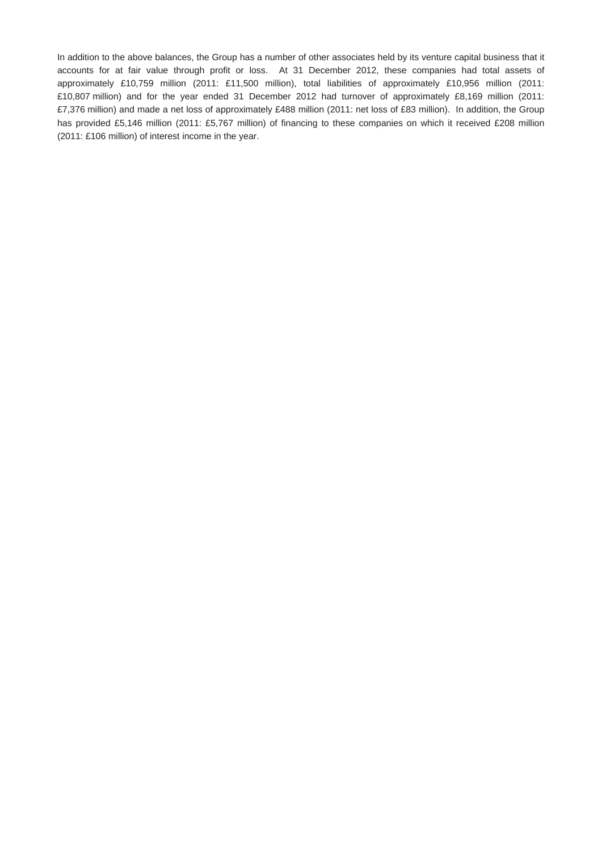In addition to the above balances, the Group has a number of other associates held by its venture capital business that it accounts for at fair value through profit or loss. At 31 December 2012, these companies had total assets of approximately £10,759 million (2011: £11,500 million), total liabilities of approximately £10,956 million (2011: £10,807 million) and for the year ended 31 December 2012 had turnover of approximately £8,169 million (2011: £7,376 million) and made a net loss of approximately £488 million (2011: net loss of £83 million). In addition, the Group has provided £5,146 million (2011: £5,767 million) of financing to these companies on which it received £208 million (2011: £106 million) of interest income in the year.